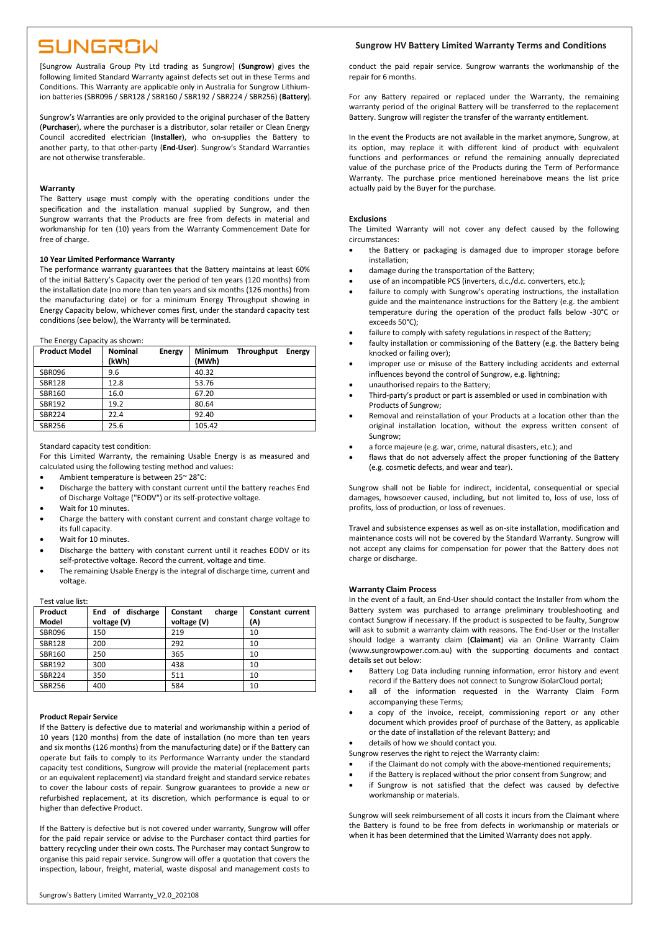# SUNGROW

[Sungrow Australia Group Pty Ltd trading as Sungrow] (**Sungrow**) gives the following limited Standard Warranty against defects set out in these Terms and Conditions. This Warranty are applicable only in Australia for Sungrow Lithiumion batteries (SBR096 / SBR128 / SBR160 / SBR192 / SBR224 / SBR256) (**Battery**).

Sungrow's Warranties are only provided to the original purchaser of the Battery (**Purchaser**), where the purchaser is a distributor, solar retailer or Clean Energy Council accredited electrician (**Installer**), who on-supplies the Battery to another party, to that other-party (**End-User**). Sungrow's Standard Warranties are not otherwise transferable.

#### **Warranty**

The Battery usage must comply with the operating conditions under the specification and the installation manual supplied by Sungrow, and then Sungrow warrants that the Products are free from defects in material and workmanship for ten (10) years from the Warranty Commencement Date for free of charge.

#### **10 Year Limited Performance Warranty**

The performance warranty guarantees that the Battery maintains at least 60% of the initial Battery's Capacity over the period of ten years (120 months) from the installation date (no more than ten years and six months (126 months) from the manufacturing date) or for a minimum Energy Throughput showing in Energy Capacity below, whichever comes first, under the standard capacity test conditions (see below), the Warranty will be terminated.

The Energy Capacity as shown:

| <b>Product Model</b> | <b>Nominal</b> | <b>Energy</b> | <b>Minimum</b> | Throughput | <b>Energy</b> |
|----------------------|----------------|---------------|----------------|------------|---------------|
|                      | (kWh)          |               | (MWh)          |            |               |
| <b>SBR096</b>        | 9.6            |               | 40.32          |            |               |
| <b>SBR128</b>        | 12.8           |               | 53.76          |            |               |
| SBR160               | 16.0           |               | 67.20          |            |               |
| SBR192               | 19.2           |               | 80.64          |            |               |
| <b>SBR224</b>        | 22.4           |               | 92.40          |            |               |
| <b>SBR256</b>        | 25.6           |               | 105.42         |            |               |

Standard capacity test condition:

For this Limited Warranty, the remaining Usable Energy is as measured and calculated using the following testing method and values:

- Ambient temperature is between 25~ 28°C:
- Discharge the battery with constant current until the battery reaches End of Discharge Voltage ("EODV") or its self-protective voltage.
- Wait for 10 minutes.
- Charge the battery with constant current and constant charge voltage to its full capacity.
- Wait for 10 minutes.
- Discharge the battery with constant current until it reaches EODV or its self-protective voltage. Record the current, voltage and time.
- The remaining Usable Energy is the integral of discharge time, current and voltage.

### Test value list:

| Product<br>Model | End of discharge<br>voltage (V) | Constant<br>charge<br>voltage (V) | Constant current<br>(A) |
|------------------|---------------------------------|-----------------------------------|-------------------------|
| <b>SBR096</b>    | 150                             | 219                               | 10                      |
| <b>SBR128</b>    | 200                             | 292                               | 10                      |
| SBR160           | 250                             | 365                               | 10                      |
| SBR192           | 300                             | 438                               | 10                      |
| <b>SBR224</b>    | 350                             | 511                               | 10                      |
| <b>SBR256</b>    | 400                             | 584                               | 10                      |

#### **Product Repair Service**

If the Battery is defective due to material and workmanship within a period of 10 years (120 months) from the date of installation (no more than ten years and six months (126 months) from the manufacturing date) or if the Battery can operate but fails to comply to its Performance Warranty under the standard capacity test conditions, Sungrow will provide the material (replacement parts or an equivalent replacement) via standard freight and standard service rebates to cover the labour costs of repair. Sungrow guarantees to provide a new or refurbished replacement, at its discretion, which performance is equal to or higher than defective Product.

If the Battery is defective but is not covered under warranty, Sungrow will offer for the paid repair service or advise to the Purchaser contact third parties for battery recycling under their own costs. The Purchaser may contact Sungrow to organise this paid repair service. Sungrow will offer a quotation that covers the inspection, labour, freight, material, waste disposal and management costs to

## **Sungrow HV Battery Limited Warranty Terms and Conditions**

conduct the paid repair service. Sungrow warrants the workmanship of the repair for 6 months.

For any Battery repaired or replaced under the Warranty, the remaining warranty period of the original Battery will be transferred to the replacement Battery. Sungrow will register the transfer of the warranty entitlement.

In the event the Products are not available in the market anymore, Sungrow, at its option, may replace it with different kind of product with equivalent functions and performances or refund the remaining annually depreciated value of the purchase price of the Products during the Term of Performance Warranty. The purchase price mentioned hereinabove means the list price actually paid by the Buyer for the purchase.

#### **Exclusions**

The Limited Warranty will not cover any defect caused by the following circumstances:

- the Battery or packaging is damaged due to improper storage before installation;
- damage during the transportation of the Battery;
- use of an incompatible PCS (inverters, d.c./d.c. converters, etc.);
- failure to comply with Sungrow's operating instructions, the installation guide and the maintenance instructions for the Battery (e.g. the ambient temperature during the operation of the product falls below -30°C or exceeds 50°C);
- failure to comply with safety regulations in respect of the Battery;
- faulty installation or commissioning of the Battery (e.g. the Battery being knocked or failing over);
- improper use or misuse of the Battery including accidents and external influences beyond the control of Sungrow, e.g. lightning;
- unauthorised repairs to the Battery;
- Third-party's product or part is assembled or used in combination with Products of Sungrow;
- Removal and reinstallation of your Products at a location other than the original installation location, without the express written consent of Sungrow;
- a force majeure (e.g. war, crime, natural disasters, etc.); and
- flaws that do not adversely affect the proper functioning of the Battery (e.g. cosmetic defects, and wear and tear).

Sungrow shall not be liable for indirect, incidental, consequential or special damages, howsoever caused, including, but not limited to, loss of use, loss of profits, loss of production, or loss of revenues.

Travel and subsistence expenses as well as on-site installation, modification and maintenance costs will not be covered by the Standard Warranty. Sungrow will not accept any claims for compensation for power that the Battery does not charge or discharge.

#### **Warranty Claim Process**

In the event of a fault, an End-User should contact the Installer from whom the Battery system was purchased to arrange preliminary troubleshooting and contact Sungrow if necessary. If the product is suspected to be faulty, Sungrow will ask to submit a warranty claim with reasons. The End-User or the Installer should lodge a warranty claim (**Claimant**) via an Online Warranty Claim (www.sungrowpower.com.au) with the supporting documents and contact details set out below:

- Battery Log Data including running information, error history and event record if the Battery does not connect to Sungrow iSolarCloud portal;
- all of the information requested in the Warranty Claim Form accompanying these Terms;
- a copy of the invoice, receipt, commissioning report or any other document which provides proof of purchase of the Battery, as applicable or the date of installation of the relevant Battery; and
- details of how we should contact you.
- Sungrow reserves the right to reject the Warranty claim:
- if the Claimant do not comply with the above-mentioned requirements;
- if the Battery is replaced without the prior consent from Sungrow; and
- if Sungrow is not satisfied that the defect was caused by defective workmanship or materials.

Sungrow will seek reimbursement of all costs it incurs from the Claimant where the Battery is found to be free from defects in workmanship or materials or when it has been determined that the Limited Warranty does not apply.